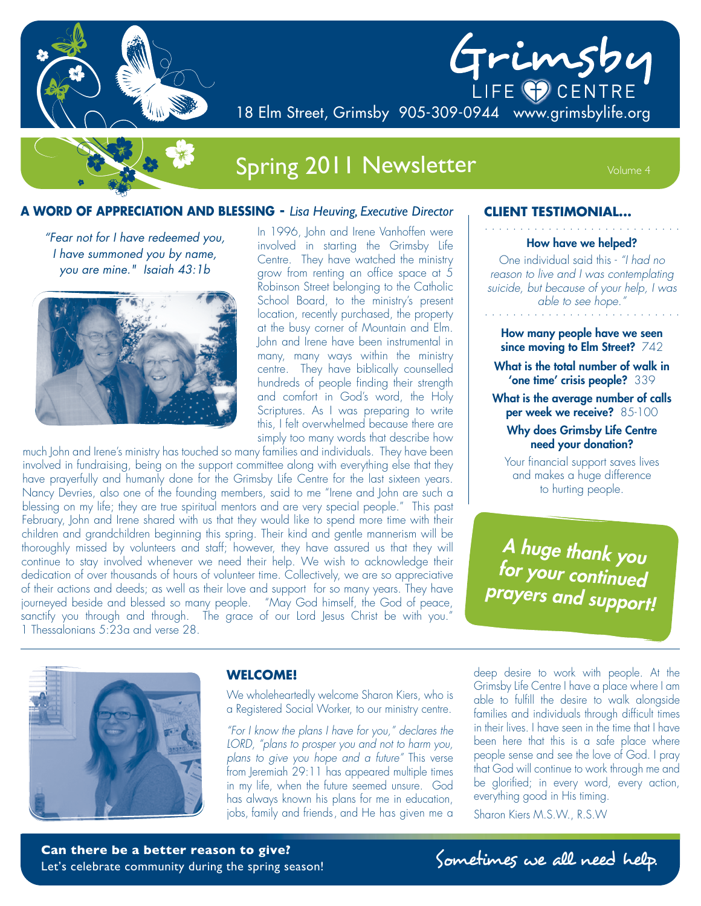



18 Elm Street, Grimsby 905-309-0944 www.grimsbylife.org

# Spring 2011 Newsletter Volume 4

### **A WORD OF APPRECIATION AND BLESSING -** *Lisa Heuving, Executive Director*

*"Fear not for I have redeemed you, I have summoned you by name, you are mine." Isaiah 43:1b*



In 1996, John and Irene Vanhoffen were involved in starting the Grimsby Life Centre. They have watched the ministry grow from renting an office space at 5 Robinson Street belonging to the Catholic School Board, to the ministry's present location, recently purchased, the property at the busy corner of Mountain and Elm. John and Irene have been instrumental in many, many ways within the ministry centre. They have biblically counselled hundreds of people finding their strength and comfort in God's word, the Holy Scriptures. As I was preparing to write this, I felt overwhelmed because there are simply too many words that describe how

much John and Irene's ministry has touched so many families and individuals. They have been involved in fundraising, being on the support committee along with everything else that they have prayerfully and humanly done for the Grimsby Life Centre for the last sixteen years. Nancy Devries, also one of the founding members, said to me "Irene and John are such a blessing on my life; they are true spiritual mentors and are very special people." This past February, John and Irene shared with us that they would like to spend more time with their children and grandchildren beginning this spring. Their kind and gentle mannerism will be thoroughly missed by volunteers and staff; however, they have assured us that they will continue to stay involved whenever we need their help. We wish to acknowledge their dedication of over thousands of hours of volunteer time. Collectively, we are so appreciative of their actions and deeds; as well as their love and support for so many years. They have journeyed beside and blessed so many people. "May God himself, the God of peace, sanctify you through and through. The grace of our Lord Jesus Christ be with you." 1 Thessalonians 5:23a and verse 28.

#### **CLIENT TESTIMONIAL...**

. . . . . . . . . . . . . . . . . . . . . . . . . . . . **How have we helped?**

One individual said this - *"I had no reason to live and I was contemplating suicide, but because of your help, I was*  able to see hope."

**How many people have we seen since moving to Elm Street?** 742

**What is the total number of walk in 'one time' crisis people?** 339

**What is the average number of calls per week we receive?** 85-100

### **Why does Grimsby Life Centre need your donation?**

Your financial support saves lives and makes a huge difference to hurting people.

*A huge thank you for your continued prayers and support!*



### **WELCOME!**

We wholeheartedly welcome Sharon Kiers, who is a Registered Social Worker, to our ministry centre.

*"For I know the plans I have for you," declares the LORD, "plans to prosper you and not to harm you, plans to give you hope and a future"* This verse from Jeremiah 29:11 has appeared multiple times in my life, when the future seemed unsure. God has always known his plans for me in education, jobs, family and friends, and He has given me a

deep desire to work with people. At the Grimsby Life Centre I have a place where I am able to fulfill the desire to walk alongside families and individuals through difficult times in their lives. I have seen in the time that I have been here that this is a safe place where people sense and see the love of God. I pray that God will continue to work through me and be glorified; in every word, every action, everything good in His timing.

Sharon Kiers M.S.W., R.S.W